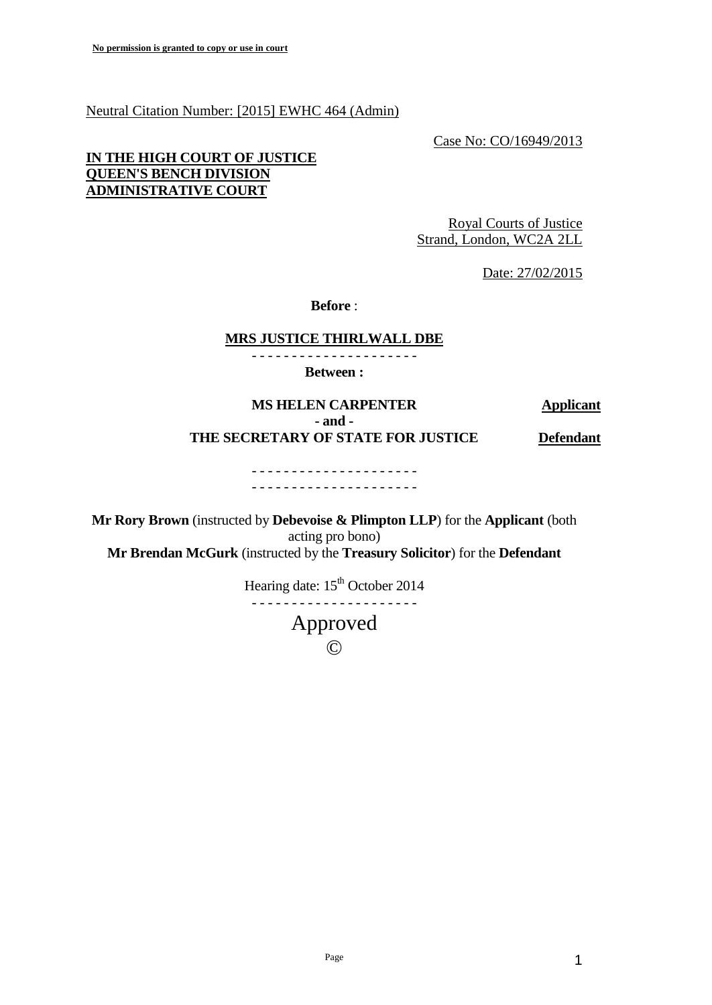Neutral Citation Number: [2015] EWHC 464 (Admin)

Case No: CO/16949/2013

# **IN THE HIGH COURT OF JUSTICE QUEEN'S BENCH DIVISION ADMINISTRATIVE COURT**

Royal Courts of Justice Strand, London, WC2A 2LL

Date: 27/02/2015

**Before** :

## **MRS JUSTICE THIRLWALL DBE**

- - - - - - - - - - - - - - - - - - - - - **Between :**

# **MS HELEN CARPENTER Applicant - and - THE SECRETARY OF STATE FOR JUSTICE Defendant**

- - - - - - - - - - - - - - - - - - - - - - - - - - - - - - - - - - - - - - - - - -

**Mr Rory Brown** (instructed by **Debevoise & Plimpton LLP**) for the **Applicant** (both acting pro bono) **Mr Brendan McGurk** (instructed by the **Treasury Solicitor**) for the **Defendant**

> Hearing date:  $15<sup>th</sup>$  October 2014 - - - - - - - - - - - - - - - - - - - - -

> > Approved

 $\odot$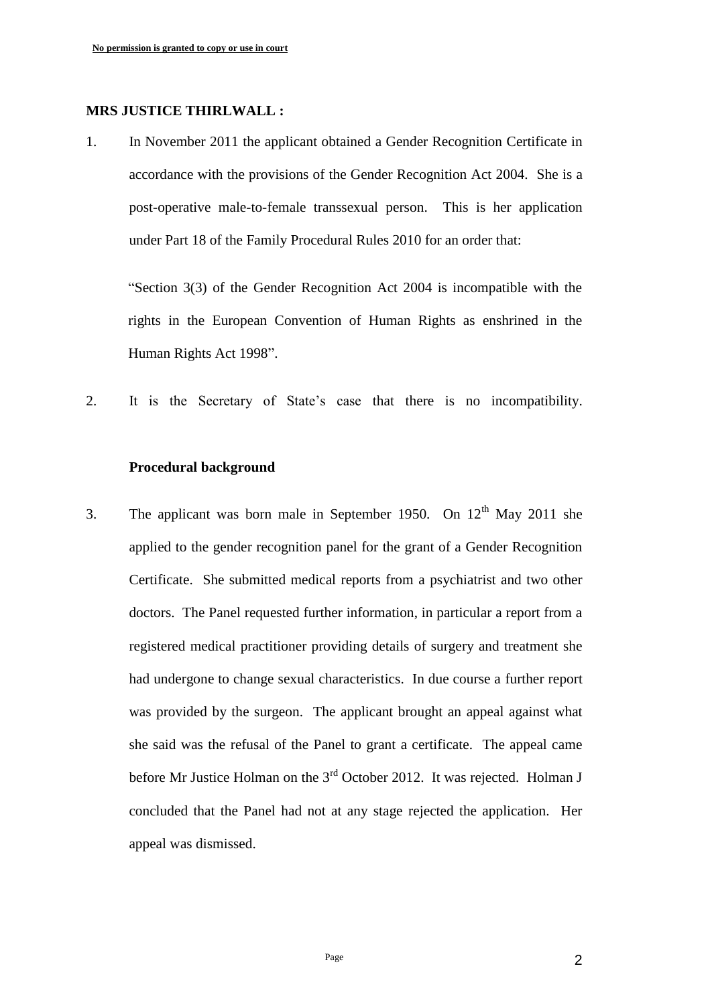#### **MRS JUSTICE THIRLWALL :**

1. In November 2011 the applicant obtained a Gender Recognition Certificate in accordance with the provisions of the Gender Recognition Act 2004. She is a post-operative male-to-female transsexual person. This is her application under Part 18 of the Family Procedural Rules 2010 for an order that:

"Section 3(3) of the Gender Recognition Act 2004 is incompatible with the rights in the European Convention of Human Rights as enshrined in the Human Rights Act 1998".

2. It is the Secretary of State's case that there is no incompatibility.

## **Procedural background**

3. The applicant was born male in September 1950. On  $12<sup>th</sup>$  May 2011 she applied to the gender recognition panel for the grant of a Gender Recognition Certificate. She submitted medical reports from a psychiatrist and two other doctors. The Panel requested further information, in particular a report from a registered medical practitioner providing details of surgery and treatment she had undergone to change sexual characteristics. In due course a further report was provided by the surgeon. The applicant brought an appeal against what she said was the refusal of the Panel to grant a certificate. The appeal came before Mr Justice Holman on the 3<sup>rd</sup> October 2012. It was rejected. Holman J concluded that the Panel had not at any stage rejected the application. Her appeal was dismissed.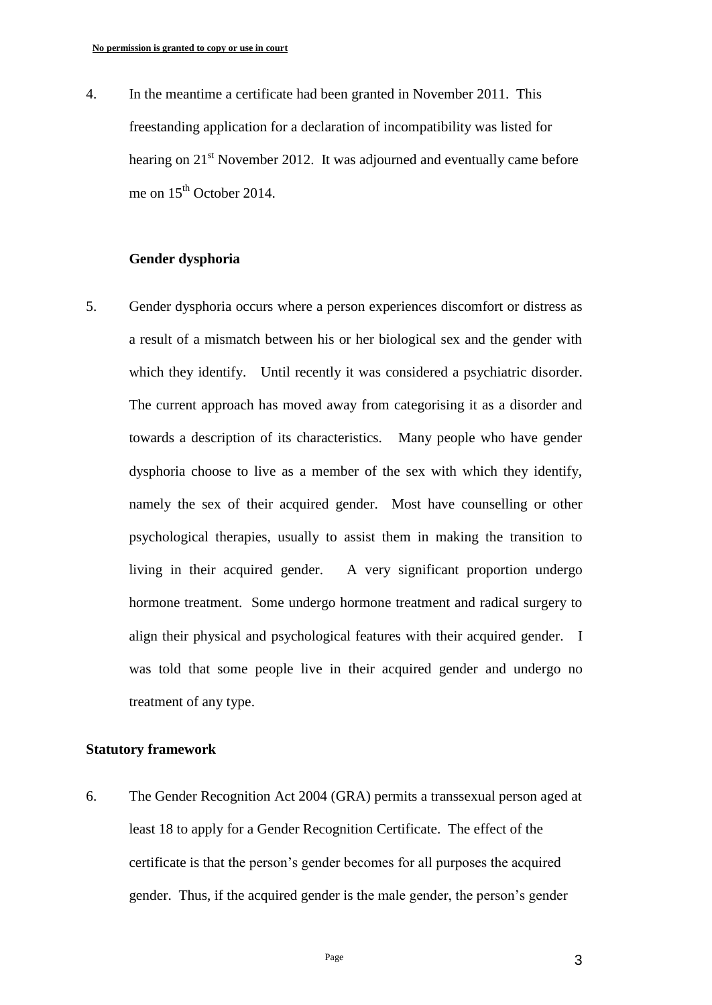4. In the meantime a certificate had been granted in November 2011. This freestanding application for a declaration of incompatibility was listed for hearing on 21<sup>st</sup> November 2012. It was adjourned and eventually came before me on  $15<sup>th</sup>$  October 2014.

## **Gender dysphoria**

5. Gender dysphoria occurs where a person experiences discomfort or distress as a result of a mismatch between his or her biological sex and the gender with which they identify. Until recently it was considered a psychiatric disorder. The current approach has moved away from categorising it as a disorder and towards a description of its characteristics. Many people who have gender dysphoria choose to live as a member of the sex with which they identify, namely the sex of their acquired gender. Most have counselling or other psychological therapies, usually to assist them in making the transition to living in their acquired gender. A very significant proportion undergo hormone treatment. Some undergo hormone treatment and radical surgery to align their physical and psychological features with their acquired gender. I was told that some people live in their acquired gender and undergo no treatment of any type.

#### **Statutory framework**

6. The Gender Recognition Act 2004 (GRA) permits a transsexual person aged at least 18 to apply for a Gender Recognition Certificate. The effect of the certificate is that the person's gender becomes for all purposes the acquired gender. Thus, if the acquired gender is the male gender, the person's gender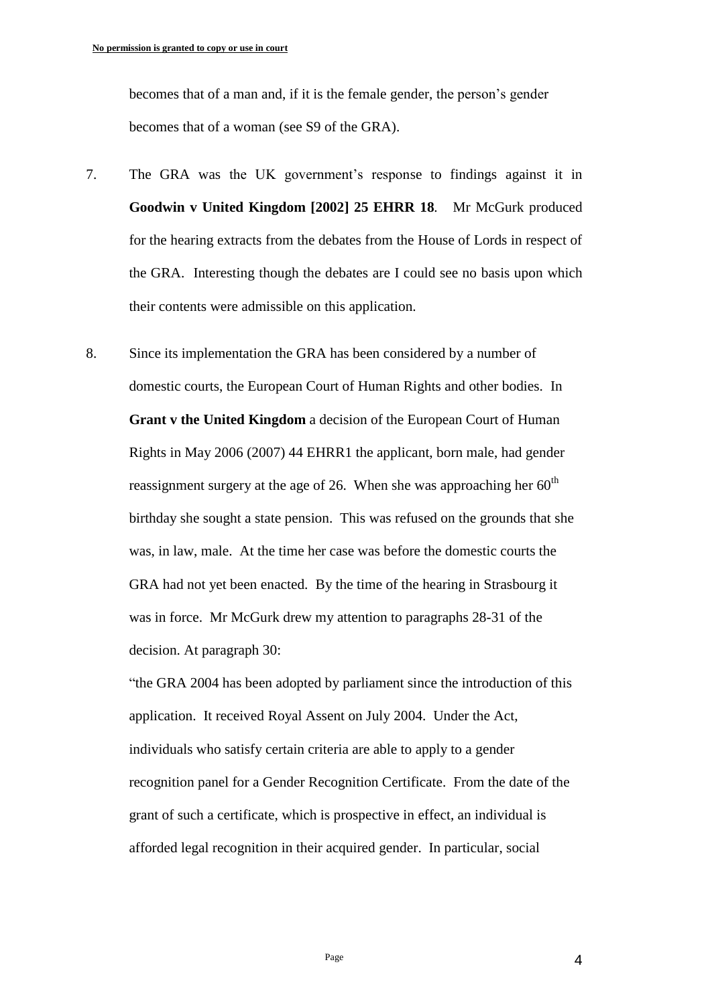becomes that of a man and, if it is the female gender, the person's gender becomes that of a woman (see S9 of the GRA).

- 7. The GRA was the UK government's response to findings against it in **Goodwin v United Kingdom [2002] 25 EHRR 18***.* Mr McGurk produced for the hearing extracts from the debates from the House of Lords in respect of the GRA. Interesting though the debates are I could see no basis upon which their contents were admissible on this application.
- 8. Since its implementation the GRA has been considered by a number of domestic courts, the European Court of Human Rights and other bodies. In **Grant v the United Kingdom** a decision of the European Court of Human Rights in May 2006 (2007) 44 EHRR1 the applicant, born male, had gender reassignment surgery at the age of 26. When she was approaching her  $60<sup>th</sup>$ birthday she sought a state pension. This was refused on the grounds that she was, in law, male. At the time her case was before the domestic courts the GRA had not yet been enacted. By the time of the hearing in Strasbourg it was in force. Mr McGurk drew my attention to paragraphs 28-31 of the decision. At paragraph 30:

"the GRA 2004 has been adopted by parliament since the introduction of this application. It received Royal Assent on July 2004. Under the Act, individuals who satisfy certain criteria are able to apply to a gender recognition panel for a Gender Recognition Certificate. From the date of the grant of such a certificate, which is prospective in effect, an individual is afforded legal recognition in their acquired gender. In particular, social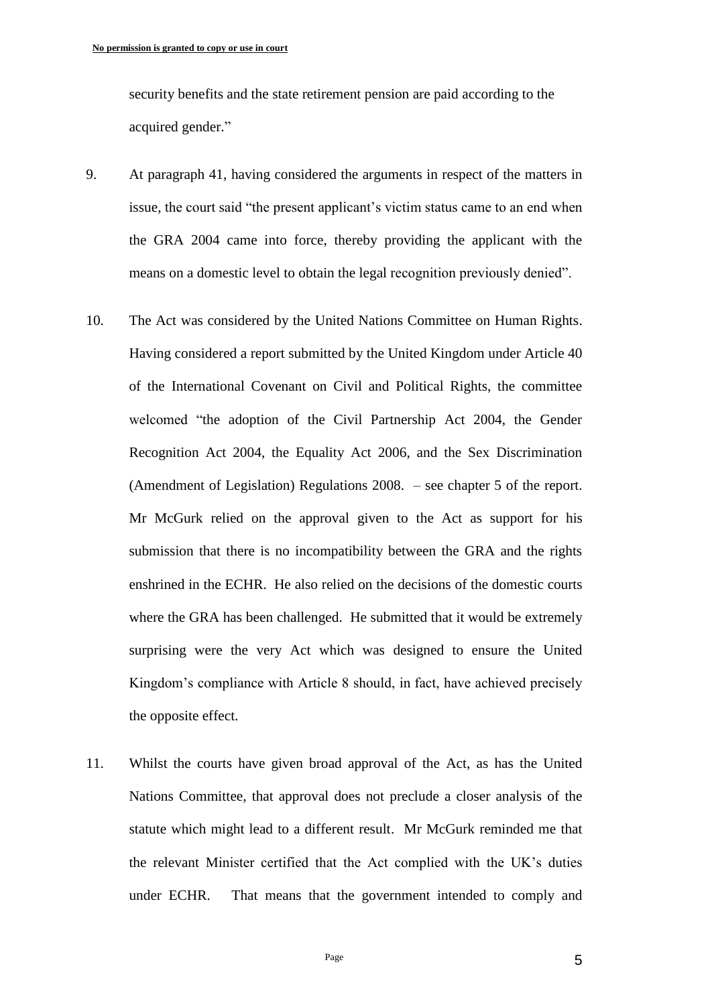security benefits and the state retirement pension are paid according to the acquired gender."

- 9. At paragraph 41, having considered the arguments in respect of the matters in issue, the court said "the present applicant's victim status came to an end when the GRA 2004 came into force, thereby providing the applicant with the means on a domestic level to obtain the legal recognition previously denied".
- 10. The Act was considered by the United Nations Committee on Human Rights. Having considered a report submitted by the United Kingdom under Article 40 of the International Covenant on Civil and Political Rights, the committee welcomed "the adoption of the Civil Partnership Act 2004, the Gender Recognition Act 2004, the Equality Act 2006, and the Sex Discrimination (Amendment of Legislation) Regulations 2008. – see chapter 5 of the report. Mr McGurk relied on the approval given to the Act as support for his submission that there is no incompatibility between the GRA and the rights enshrined in the ECHR. He also relied on the decisions of the domestic courts where the GRA has been challenged. He submitted that it would be extremely surprising were the very Act which was designed to ensure the United Kingdom's compliance with Article 8 should, in fact, have achieved precisely the opposite effect.
- 11. Whilst the courts have given broad approval of the Act, as has the United Nations Committee, that approval does not preclude a closer analysis of the statute which might lead to a different result. Mr McGurk reminded me that the relevant Minister certified that the Act complied with the UK's duties under ECHR. That means that the government intended to comply and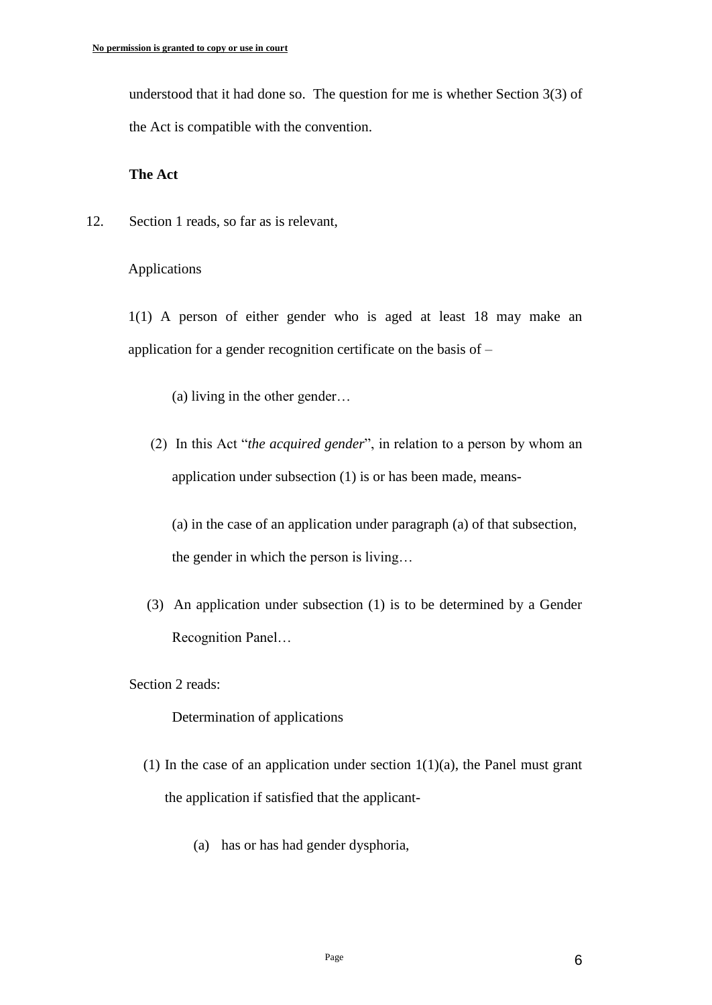understood that it had done so. The question for me is whether Section 3(3) of the Act is compatible with the convention.

## **The Act**

12. Section 1 reads, so far as is relevant,

Applications

1(1) A person of either gender who is aged at least 18 may make an application for a gender recognition certificate on the basis of –

(a) living in the other gender…

 (2) In this Act "*the acquired gender*", in relation to a person by whom an application under subsection (1) is or has been made, means-

(a) in the case of an application under paragraph (a) of that subsection, the gender in which the person is living…

 (3) An application under subsection (1) is to be determined by a Gender Recognition Panel…

Section 2 reads:

### Determination of applications

- (1) In the case of an application under section  $1(1)(a)$ , the Panel must grant the application if satisfied that the applicant-
	- (a) has or has had gender dysphoria,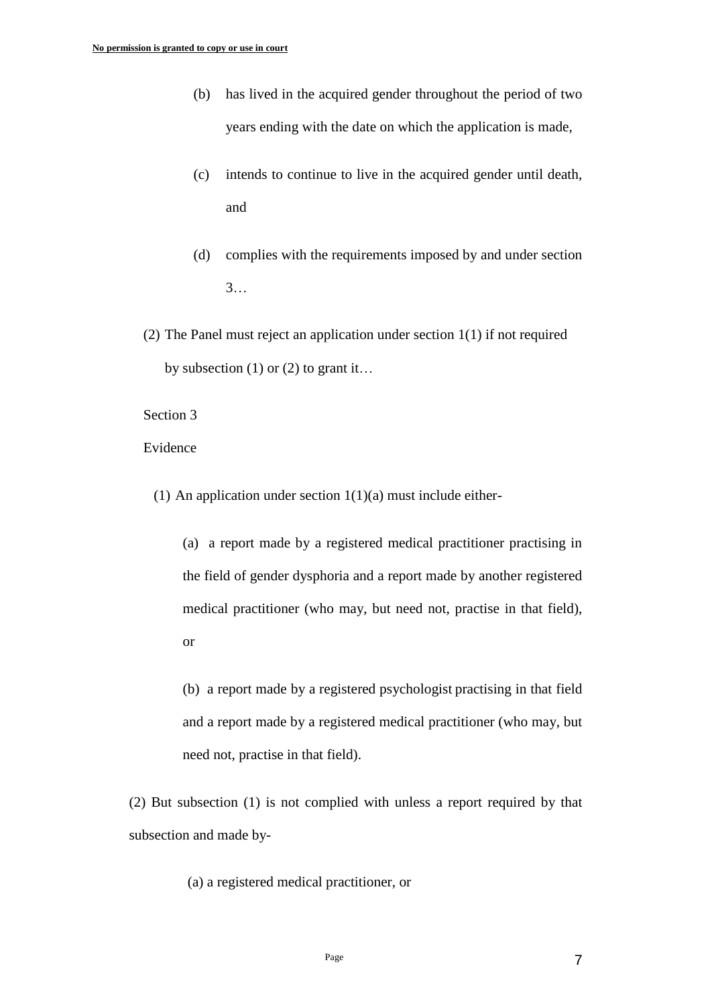- (b) has lived in the acquired gender throughout the period of two years ending with the date on which the application is made,
- (c) intends to continue to live in the acquired gender until death, and
- (d) complies with the requirements imposed by and under section 3…
- (2) The Panel must reject an application under section 1(1) if not required by subsection  $(1)$  or  $(2)$  to grant it...

Section 3

Evidence

(1) An application under section  $1(1)(a)$  must include either-

(a) a report made by a registered medical practitioner practising in the field of gender dysphoria and a report made by another registered medical practitioner (who may, but need not, practise in that field), or

(b) a report made by a registered psychologist practising in that field and a report made by a registered medical practitioner (who may, but need not, practise in that field).

(2) But subsection (1) is not complied with unless a report required by that subsection and made by-

(a) a registered medical practitioner, or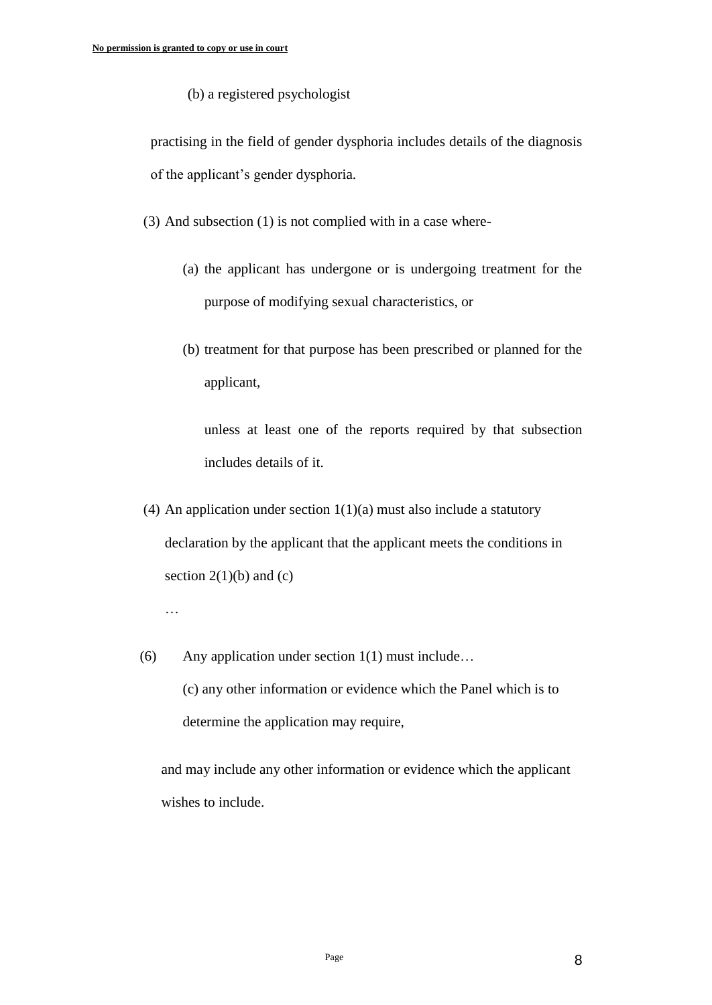(b) a registered psychologist

practising in the field of gender dysphoria includes details of the diagnosis of the applicant's gender dysphoria.

- (3) And subsection (1) is not complied with in a case where-
	- (a) the applicant has undergone or is undergoing treatment for the purpose of modifying sexual characteristics, or
	- (b) treatment for that purpose has been prescribed or planned for the applicant,

unless at least one of the reports required by that subsection includes details of it.

(4) An application under section  $1(1)(a)$  must also include a statutory declaration by the applicant that the applicant meets the conditions in section  $2(1)(b)$  and  $(c)$ 

…

(6) Any application under section 1(1) must include… (c) any other information or evidence which the Panel which is to determine the application may require,

and may include any other information or evidence which the applicant wishes to include.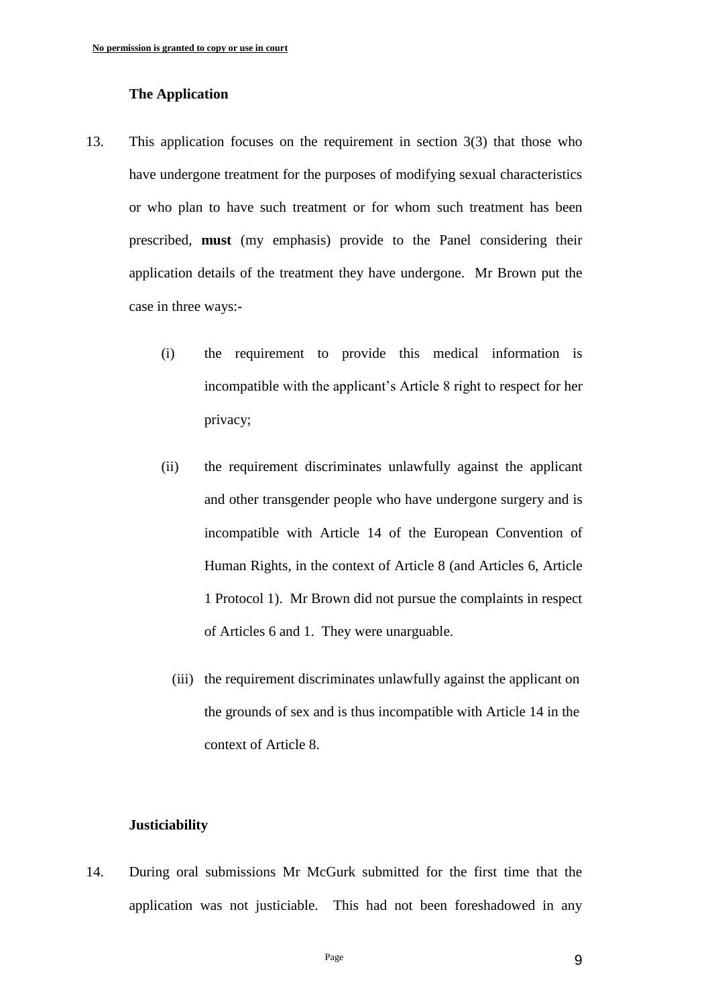## **The Application**

- 13. This application focuses on the requirement in section 3(3) that those who have undergone treatment for the purposes of modifying sexual characteristics or who plan to have such treatment or for whom such treatment has been prescribed, **must** (my emphasis) provide to the Panel considering their application details of the treatment they have undergone. Mr Brown put the case in three ways:-
	- (i) the requirement to provide this medical information is incompatible with the applicant's Article 8 right to respect for her privacy;
	- (ii) the requirement discriminates unlawfully against the applicant and other transgender people who have undergone surgery and is incompatible with Article 14 of the European Convention of Human Rights, in the context of Article 8 (and Articles 6, Article 1 Protocol 1). Mr Brown did not pursue the complaints in respect of Articles 6 and 1. They were unarguable.
		- (iii) the requirement discriminates unlawfully against the applicant on the grounds of sex and is thus incompatible with Article 14 in the context of Article 8.

## **Justiciability**

14. During oral submissions Mr McGurk submitted for the first time that the application was not justiciable. This had not been foreshadowed in any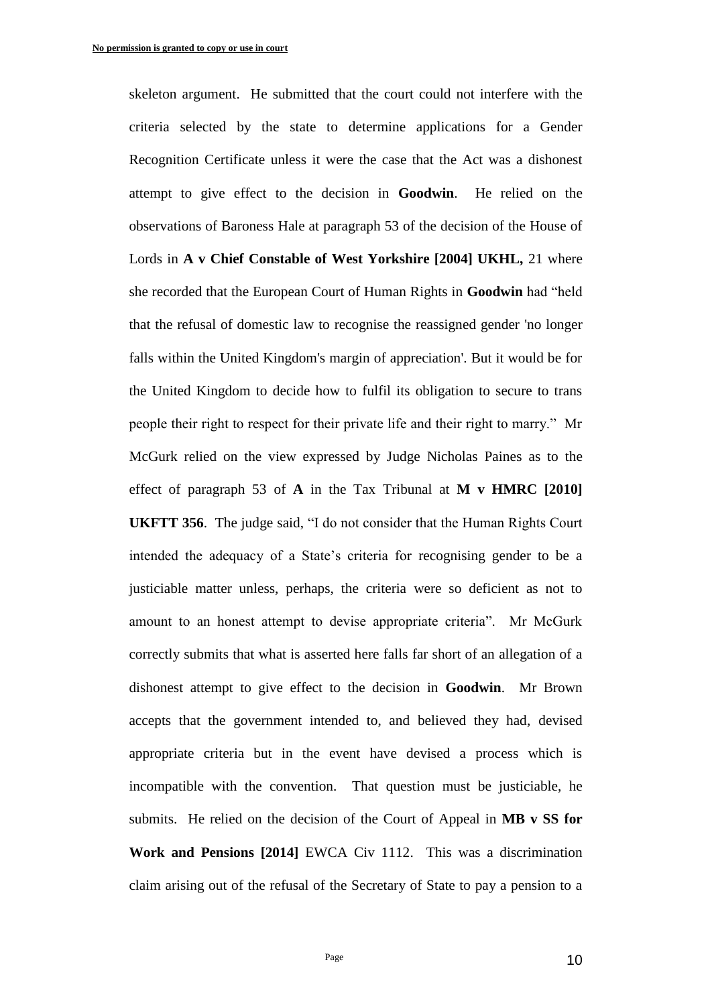skeleton argument. He submitted that the court could not interfere with the criteria selected by the state to determine applications for a Gender Recognition Certificate unless it were the case that the Act was a dishonest attempt to give effect to the decision in **Goodwin**. He relied on the observations of Baroness Hale at paragraph 53 of the decision of the House of Lords in **A v Chief Constable of West Yorkshire [2004] UKHL,** 21 where she recorded that the European Court of Human Rights in **Goodwin** had "held that the refusal of domestic law to recognise the reassigned gender 'no longer falls within the United Kingdom's margin of appreciation'. But it would be for the United Kingdom to decide how to fulfil its obligation to secure to trans people their right to respect for their private life and their right to marry." Mr McGurk relied on the view expressed by Judge Nicholas Paines as to the effect of paragraph 53 of **A** in the Tax Tribunal at **M v HMRC [2010] UKFTT 356**. The judge said, "I do not consider that the Human Rights Court intended the adequacy of a State's criteria for recognising gender to be a justiciable matter unless, perhaps, the criteria were so deficient as not to amount to an honest attempt to devise appropriate criteria". Mr McGurk correctly submits that what is asserted here falls far short of an allegation of a dishonest attempt to give effect to the decision in **Goodwin**. Mr Brown accepts that the government intended to, and believed they had, devised appropriate criteria but in the event have devised a process which is incompatible with the convention. That question must be justiciable, he submits. He relied on the decision of the Court of Appeal in **MB v SS for Work and Pensions [2014]** EWCA Civ 1112. This was a discrimination claim arising out of the refusal of the Secretary of State to pay a pension to a

Page 10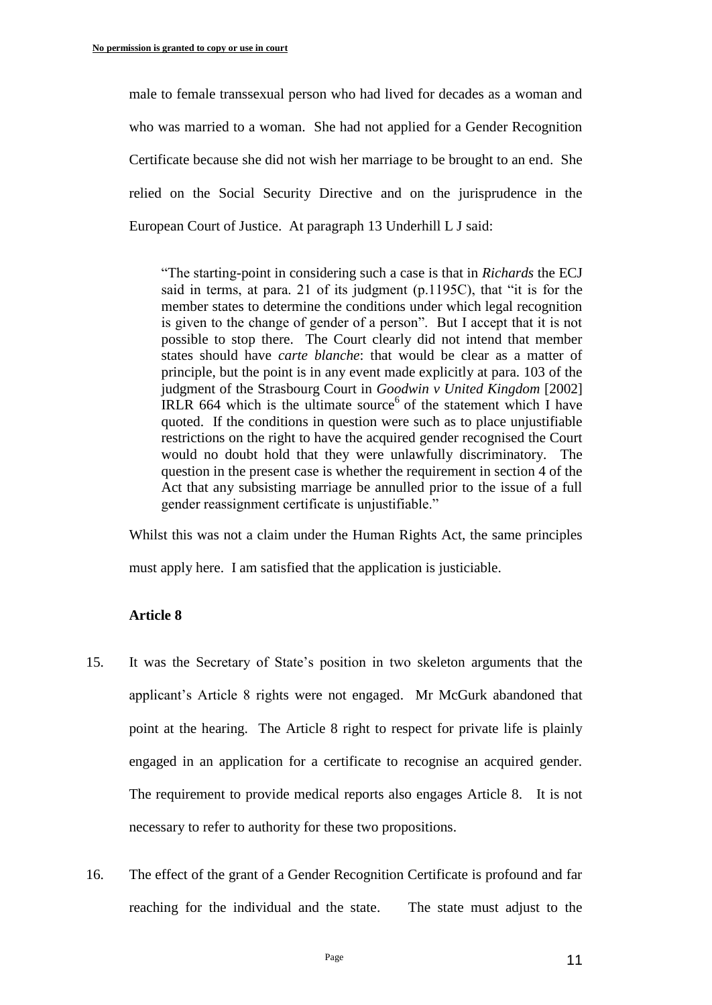male to female transsexual person who had lived for decades as a woman and who was married to a woman. She had not applied for a Gender Recognition Certificate because she did not wish her marriage to be brought to an end. She relied on the Social Security Directive and on the jurisprudence in the European Court of Justice. At paragraph 13 Underhill L J said:

"The starting-point in considering such a case is that in *Richards* the ECJ said in terms, at para. 21 of its judgment (p.1195C), that "it is for the member states to determine the conditions under which legal recognition is given to the change of gender of a person". But I accept that it is not possible to stop there. The Court clearly did not intend that member states should have *carte blanche*: that would be clear as a matter of principle, but the point is in any event made explicitly at para. 103 of the judgment of the Strasbourg Court in *Goodwin v United Kingdom* [2002] IRLR 664 which is the ultimate source  $6$  of the statement which I have quoted. If the conditions in question were such as to place unjustifiable restrictions on the right to have the acquired gender recognised the Court would no doubt hold that they were unlawfully discriminatory. The question in the present case is whether the requirement in section 4 of the Act that any subsisting marriage be annulled prior to the issue of a full gender reassignment certificate is unjustifiable."

Whilst this was not a claim under the Human Rights Act, the same principles must apply here. I am satisfied that the application is justiciable.

# **Article 8**

- 15. It was the Secretary of State's position in two skeleton arguments that the applicant's Article 8 rights were not engaged. Mr McGurk abandoned that point at the hearing. The Article 8 right to respect for private life is plainly engaged in an application for a certificate to recognise an acquired gender. The requirement to provide medical reports also engages Article 8. It is not necessary to refer to authority for these two propositions.
- 16. The effect of the grant of a Gender Recognition Certificate is profound and far reaching for the individual and the state. The state must adjust to the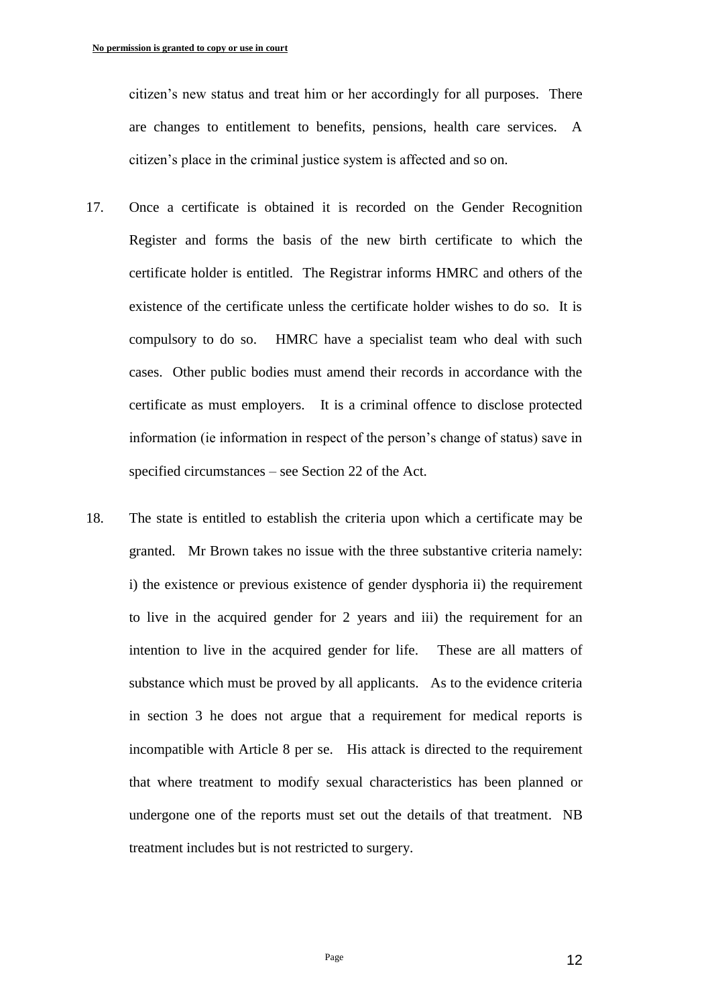citizen's new status and treat him or her accordingly for all purposes. There are changes to entitlement to benefits, pensions, health care services. A citizen's place in the criminal justice system is affected and so on.

- 17. Once a certificate is obtained it is recorded on the Gender Recognition Register and forms the basis of the new birth certificate to which the certificate holder is entitled. The Registrar informs HMRC and others of the existence of the certificate unless the certificate holder wishes to do so. It is compulsory to do so. HMRC have a specialist team who deal with such cases. Other public bodies must amend their records in accordance with the certificate as must employers. It is a criminal offence to disclose protected information (ie information in respect of the person's change of status) save in specified circumstances – see Section 22 of the Act.
- 18. The state is entitled to establish the criteria upon which a certificate may be granted. Mr Brown takes no issue with the three substantive criteria namely: i) the existence or previous existence of gender dysphoria ii) the requirement to live in the acquired gender for 2 years and iii) the requirement for an intention to live in the acquired gender for life. These are all matters of substance which must be proved by all applicants. As to the evidence criteria in section 3 he does not argue that a requirement for medical reports is incompatible with Article 8 per se. His attack is directed to the requirement that where treatment to modify sexual characteristics has been planned or undergone one of the reports must set out the details of that treatment. NB treatment includes but is not restricted to surgery.

Page 22 and 22 and 22 and 23 and 23 and 23 and 23 and 23 and 23 and 23 and 23 and 23 and 23 and 23 and 23 and 23 and 23 and 23 and 23 and 23 and 23 and 23 and 23 and 23 and 23 and 23 and 23 and 23 and 23 and 23 and 23 and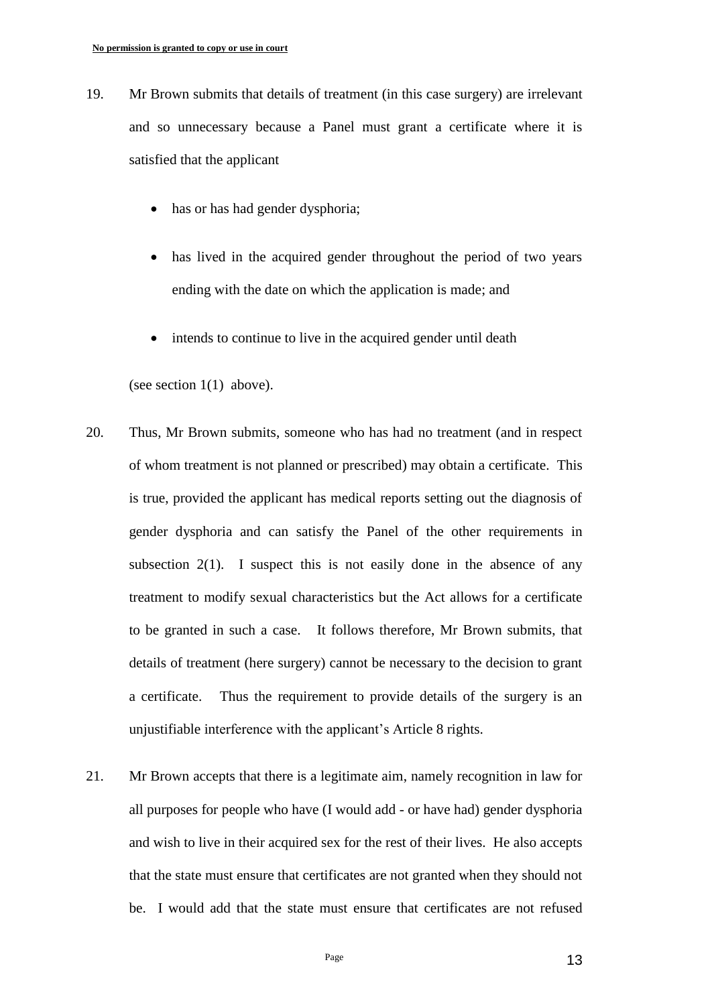- 19. Mr Brown submits that details of treatment (in this case surgery) are irrelevant and so unnecessary because a Panel must grant a certificate where it is satisfied that the applicant
	- has or has had gender dysphoria;
	- has lived in the acquired gender throughout the period of two years ending with the date on which the application is made; and
	- intends to continue to live in the acquired gender until death

(see section 1(1) above).

- 20. Thus, Mr Brown submits, someone who has had no treatment (and in respect of whom treatment is not planned or prescribed) may obtain a certificate. This is true, provided the applicant has medical reports setting out the diagnosis of gender dysphoria and can satisfy the Panel of the other requirements in subsection  $2(1)$ . I suspect this is not easily done in the absence of any treatment to modify sexual characteristics but the Act allows for a certificate to be granted in such a case. It follows therefore, Mr Brown submits, that details of treatment (here surgery) cannot be necessary to the decision to grant a certificate. Thus the requirement to provide details of the surgery is an unjustifiable interference with the applicant's Article 8 rights.
- 21. Mr Brown accepts that there is a legitimate aim, namely recognition in law for all purposes for people who have (I would add - or have had) gender dysphoria and wish to live in their acquired sex for the rest of their lives. He also accepts that the state must ensure that certificates are not granted when they should not be. I would add that the state must ensure that certificates are not refused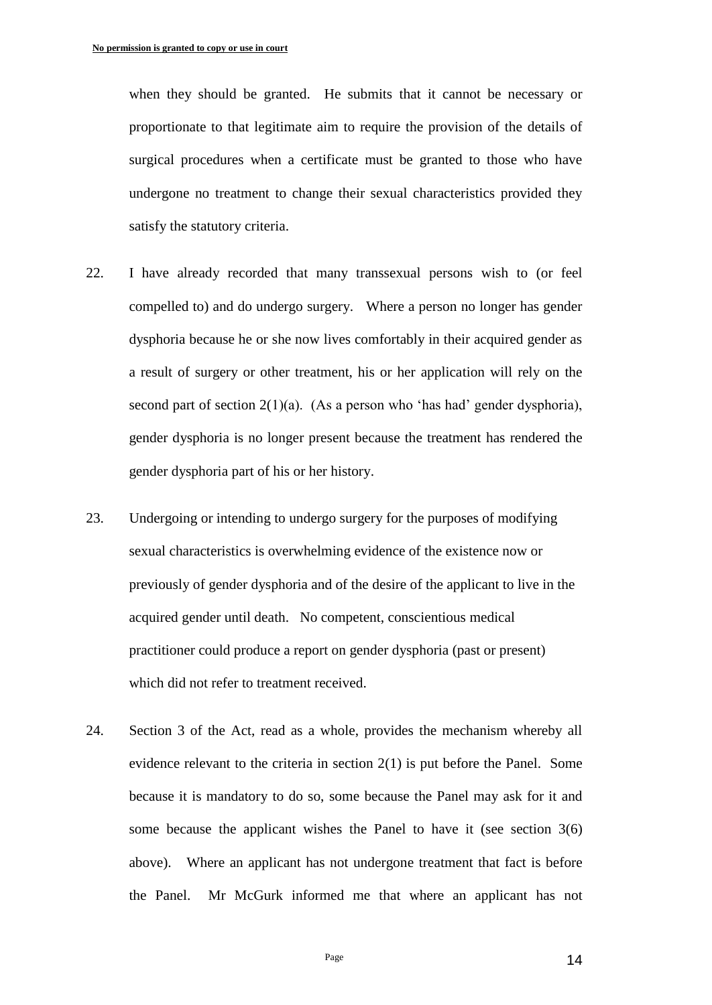when they should be granted. He submits that it cannot be necessary or proportionate to that legitimate aim to require the provision of the details of surgical procedures when a certificate must be granted to those who have undergone no treatment to change their sexual characteristics provided they satisfy the statutory criteria.

- 22. I have already recorded that many transsexual persons wish to (or feel compelled to) and do undergo surgery. Where a person no longer has gender dysphoria because he or she now lives comfortably in their acquired gender as a result of surgery or other treatment, his or her application will rely on the second part of section  $2(1)(a)$ . (As a person who 'has had' gender dysphoria), gender dysphoria is no longer present because the treatment has rendered the gender dysphoria part of his or her history.
- 23. Undergoing or intending to undergo surgery for the purposes of modifying sexual characteristics is overwhelming evidence of the existence now or previously of gender dysphoria and of the desire of the applicant to live in the acquired gender until death. No competent, conscientious medical practitioner could produce a report on gender dysphoria (past or present) which did not refer to treatment received.
- 24. Section 3 of the Act, read as a whole, provides the mechanism whereby all evidence relevant to the criteria in section 2(1) is put before the Panel. Some because it is mandatory to do so, some because the Panel may ask for it and some because the applicant wishes the Panel to have it (see section  $3(6)$ ) above). Where an applicant has not undergone treatment that fact is before the Panel. Mr McGurk informed me that where an applicant has not

Page 214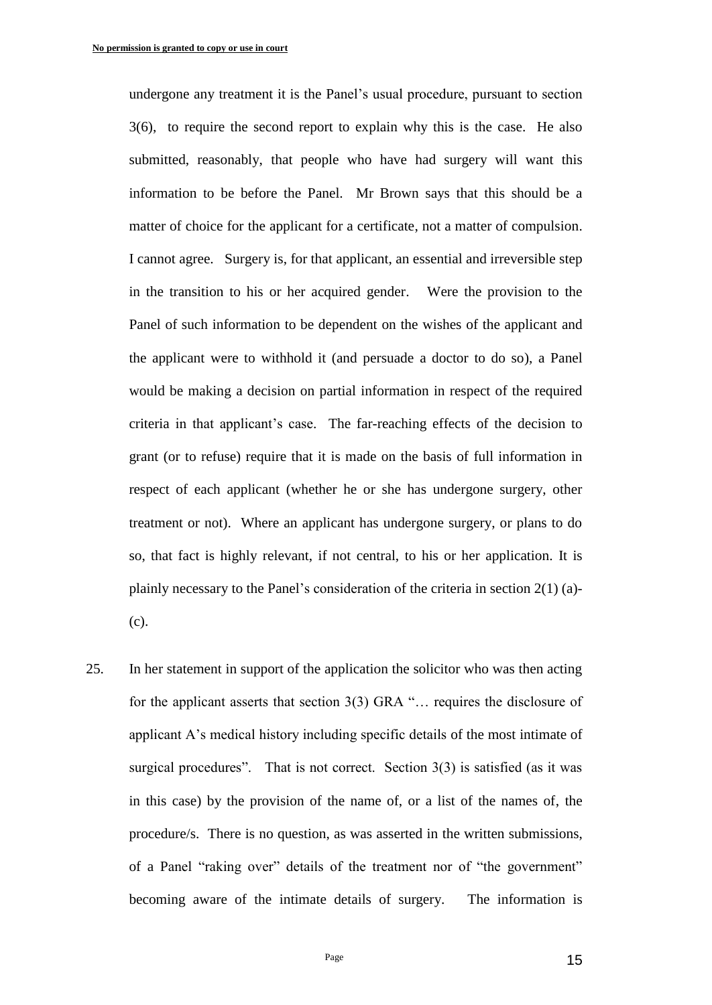undergone any treatment it is the Panel's usual procedure, pursuant to section 3(6), to require the second report to explain why this is the case. He also submitted, reasonably, that people who have had surgery will want this information to be before the Panel. Mr Brown says that this should be a matter of choice for the applicant for a certificate, not a matter of compulsion. I cannot agree. Surgery is, for that applicant, an essential and irreversible step in the transition to his or her acquired gender. Were the provision to the Panel of such information to be dependent on the wishes of the applicant and the applicant were to withhold it (and persuade a doctor to do so), a Panel would be making a decision on partial information in respect of the required criteria in that applicant's case. The far-reaching effects of the decision to grant (or to refuse) require that it is made on the basis of full information in respect of each applicant (whether he or she has undergone surgery, other treatment or not). Where an applicant has undergone surgery, or plans to do so, that fact is highly relevant, if not central, to his or her application. It is plainly necessary to the Panel's consideration of the criteria in section  $2(1)(a)$ -(c).

25. In her statement in support of the application the solicitor who was then acting for the applicant asserts that section 3(3) GRA "… requires the disclosure of applicant A's medical history including specific details of the most intimate of surgical procedures". That is not correct. Section 3(3) is satisfied (as it was in this case) by the provision of the name of, or a list of the names of, the procedure/s. There is no question, as was asserted in the written submissions, of a Panel "raking over" details of the treatment nor of "the government" becoming aware of the intimate details of surgery. The information is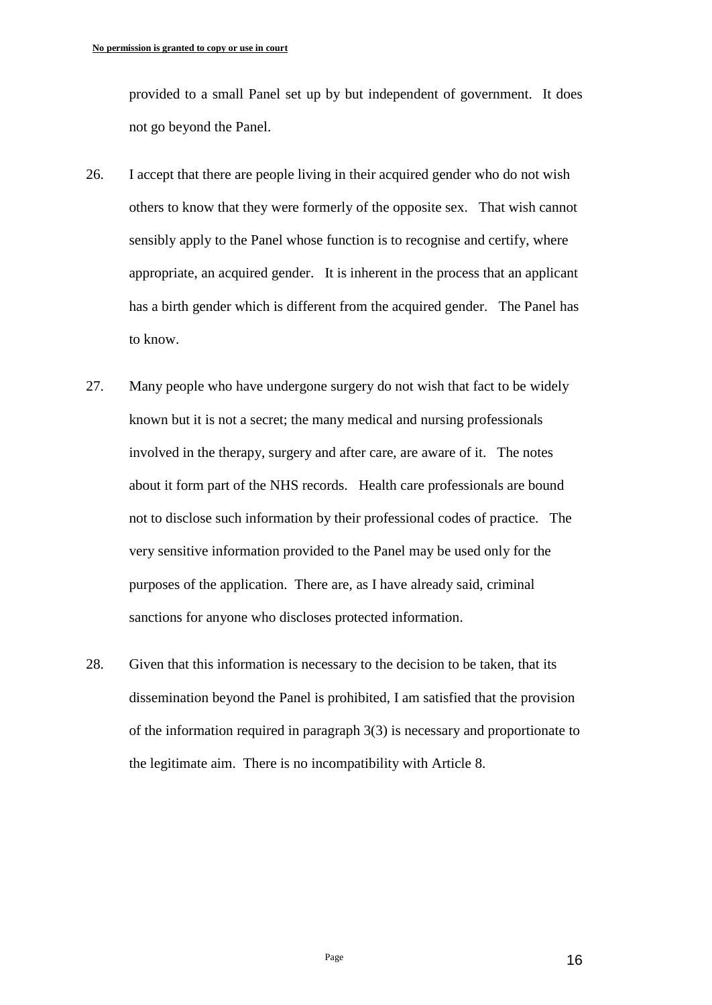provided to a small Panel set up by but independent of government. It does not go beyond the Panel.

- 26. I accept that there are people living in their acquired gender who do not wish others to know that they were formerly of the opposite sex. That wish cannot sensibly apply to the Panel whose function is to recognise and certify, where appropriate, an acquired gender. It is inherent in the process that an applicant has a birth gender which is different from the acquired gender. The Panel has to know.
- 27. Many people who have undergone surgery do not wish that fact to be widely known but it is not a secret; the many medical and nursing professionals involved in the therapy, surgery and after care, are aware of it. The notes about it form part of the NHS records. Health care professionals are bound not to disclose such information by their professional codes of practice. The very sensitive information provided to the Panel may be used only for the purposes of the application. There are, as I have already said, criminal sanctions for anyone who discloses protected information.
- 28. Given that this information is necessary to the decision to be taken, that its dissemination beyond the Panel is prohibited, I am satisfied that the provision of the information required in paragraph 3(3) is necessary and proportionate to the legitimate aim. There is no incompatibility with Article 8.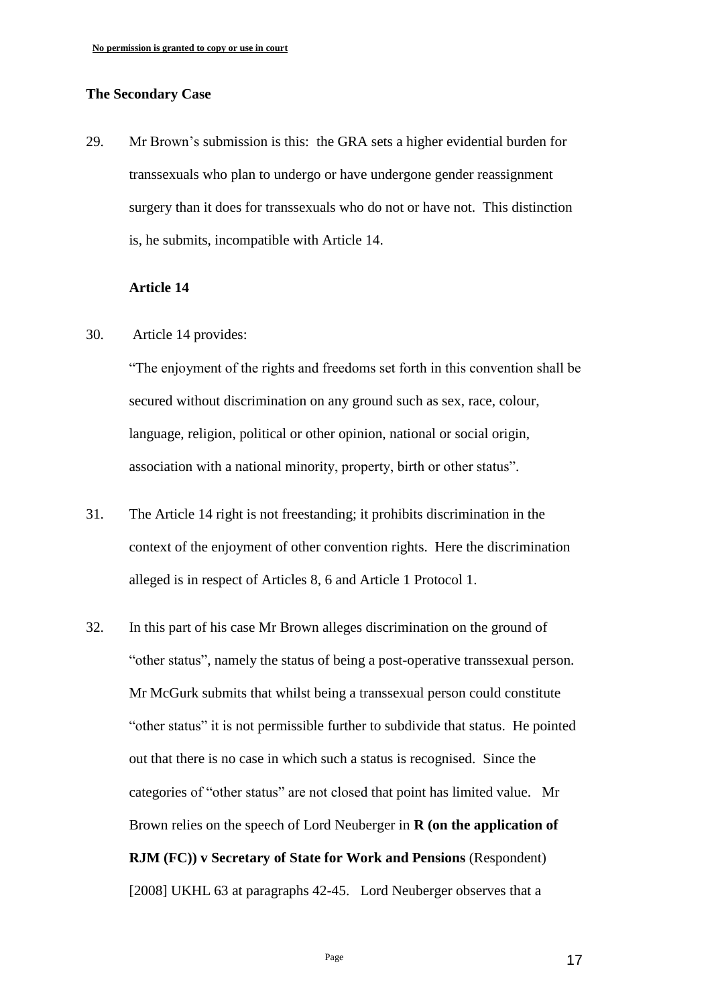#### **The Secondary Case**

29. Mr Brown's submission is this: the GRA sets a higher evidential burden for transsexuals who plan to undergo or have undergone gender reassignment surgery than it does for transsexuals who do not or have not. This distinction is, he submits, incompatible with Article 14.

#### **Article 14**

30. Article 14 provides:

"The enjoyment of the rights and freedoms set forth in this convention shall be secured without discrimination on any ground such as sex, race, colour, language, religion, political or other opinion, national or social origin, association with a national minority, property, birth or other status".

- 31. The Article 14 right is not freestanding; it prohibits discrimination in the context of the enjoyment of other convention rights. Here the discrimination alleged is in respect of Articles 8, 6 and Article 1 Protocol 1.
- 32. In this part of his case Mr Brown alleges discrimination on the ground of "other status", namely the status of being a post-operative transsexual person. Mr McGurk submits that whilst being a transsexual person could constitute "other status" it is not permissible further to subdivide that status. He pointed out that there is no case in which such a status is recognised. Since the categories of "other status" are not closed that point has limited value. Mr Brown relies on the speech of Lord Neuberger in **R (on the application of RJM (FC)) v Secretary of State for Work and Pensions** (Respondent) [2008] UKHL 63 at paragraphs 42-45. Lord Neuberger observes that a

Page 17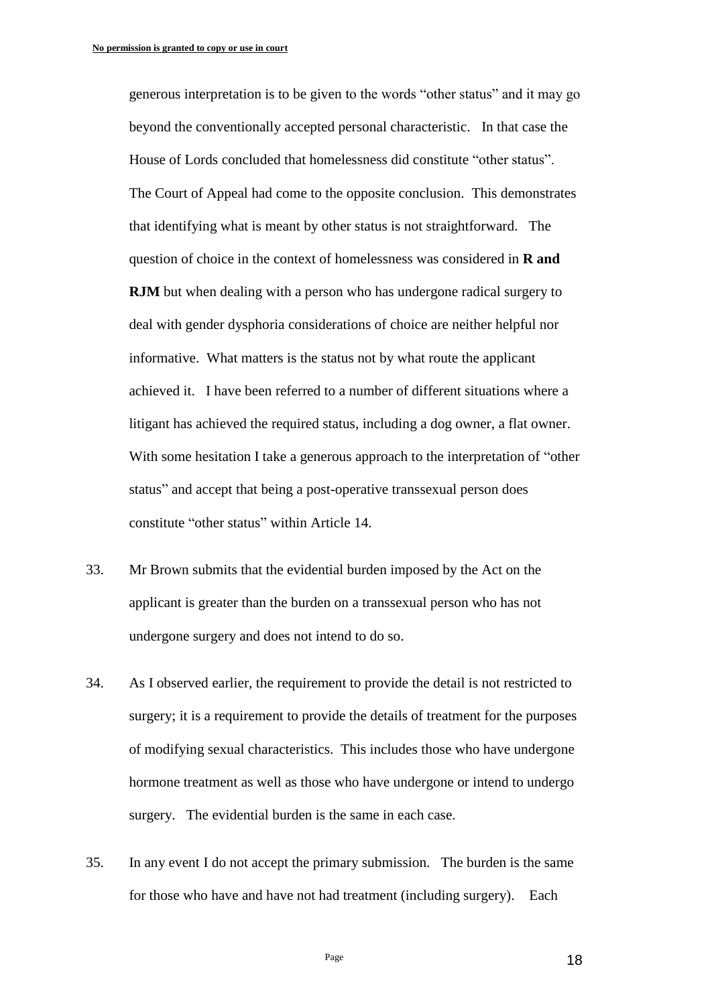generous interpretation is to be given to the words "other status" and it may go beyond the conventionally accepted personal characteristic. In that case the House of Lords concluded that homelessness did constitute "other status". The Court of Appeal had come to the opposite conclusion. This demonstrates that identifying what is meant by other status is not straightforward. The question of choice in the context of homelessness was considered in **R and RJM** but when dealing with a person who has undergone radical surgery to deal with gender dysphoria considerations of choice are neither helpful nor informative. What matters is the status not by what route the applicant achieved it. I have been referred to a number of different situations where a litigant has achieved the required status, including a dog owner, a flat owner. With some hesitation I take a generous approach to the interpretation of "other status" and accept that being a post-operative transsexual person does constitute "other status" within Article 14.

- 33. Mr Brown submits that the evidential burden imposed by the Act on the applicant is greater than the burden on a transsexual person who has not undergone surgery and does not intend to do so.
- 34. As I observed earlier, the requirement to provide the detail is not restricted to surgery; it is a requirement to provide the details of treatment for the purposes of modifying sexual characteristics. This includes those who have undergone hormone treatment as well as those who have undergone or intend to undergo surgery. The evidential burden is the same in each case.
- 35. In any event I do not accept the primary submission. The burden is the same for those who have and have not had treatment (including surgery). Each

```
Page 28 and 28 and 28 and 28 and 28 and 28 and 28 and 28 and 28 and 28 and 28 and 28 and 28 and 28 and 28 and 28 and 28 and 28 and 28 and 28 and 28 and 28 and 28 and 28 and 28 and 28 and 28 and 28 and 28 and 28 and 28 and
```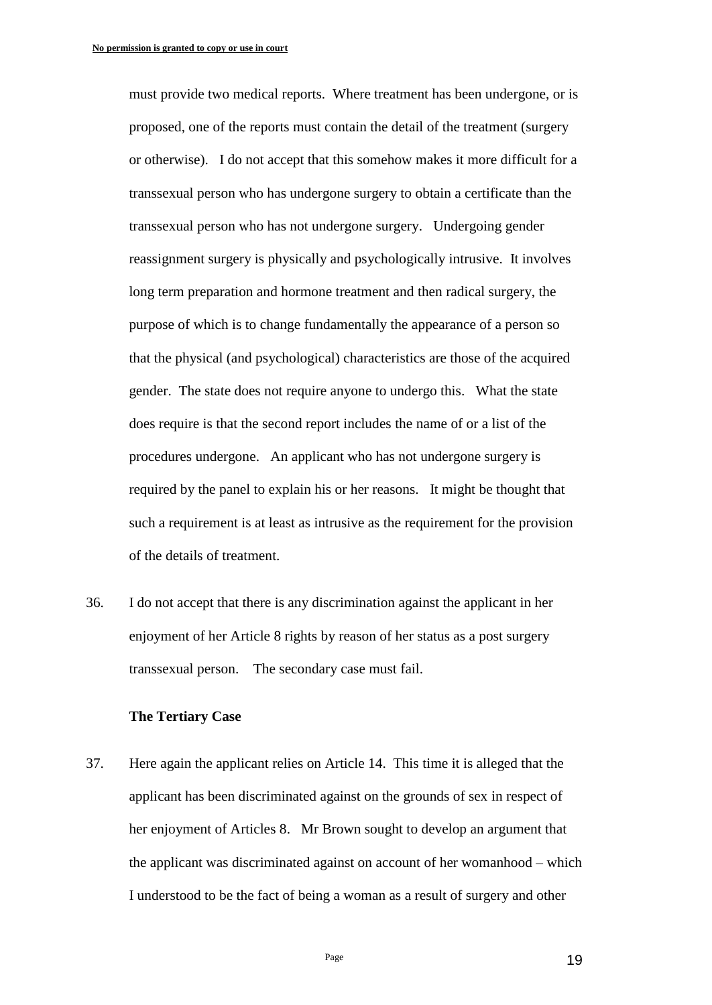must provide two medical reports. Where treatment has been undergone, or is proposed, one of the reports must contain the detail of the treatment (surgery or otherwise). I do not accept that this somehow makes it more difficult for a transsexual person who has undergone surgery to obtain a certificate than the transsexual person who has not undergone surgery. Undergoing gender reassignment surgery is physically and psychologically intrusive. It involves long term preparation and hormone treatment and then radical surgery, the purpose of which is to change fundamentally the appearance of a person so that the physical (and psychological) characteristics are those of the acquired gender. The state does not require anyone to undergo this. What the state does require is that the second report includes the name of or a list of the procedures undergone. An applicant who has not undergone surgery is required by the panel to explain his or her reasons. It might be thought that such a requirement is at least as intrusive as the requirement for the provision of the details of treatment.

36. I do not accept that there is any discrimination against the applicant in her enjoyment of her Article 8 rights by reason of her status as a post surgery transsexual person. The secondary case must fail.

#### **The Tertiary Case**

37. Here again the applicant relies on Article 14. This time it is alleged that the applicant has been discriminated against on the grounds of sex in respect of her enjoyment of Articles 8. Mr Brown sought to develop an argument that the applicant was discriminated against on account of her womanhood – which I understood to be the fact of being a woman as a result of surgery and other

Page 19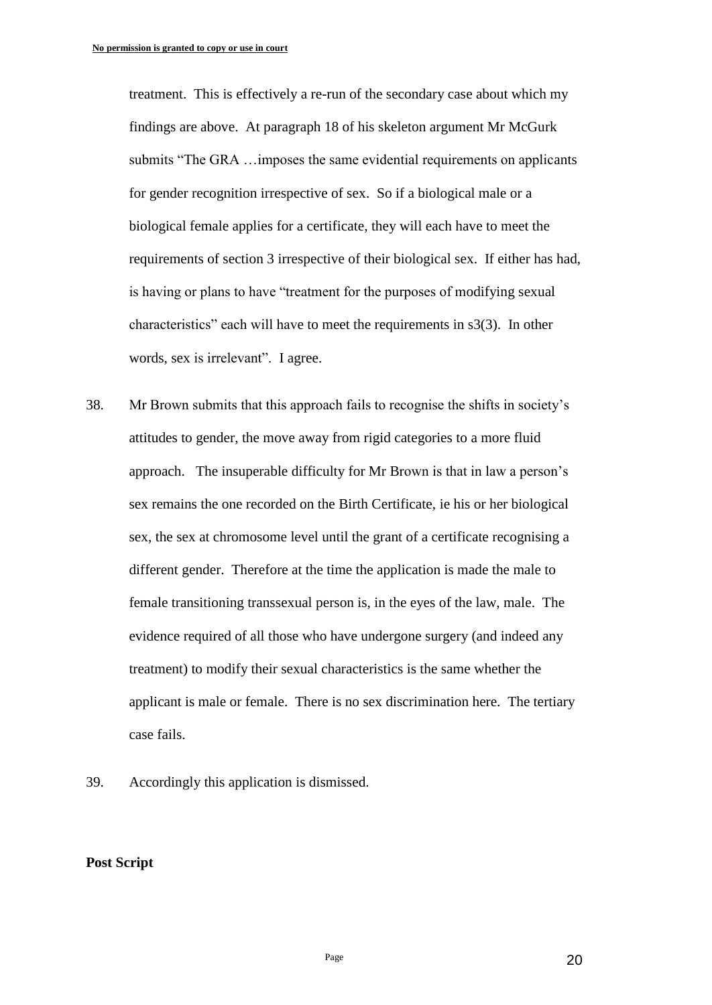treatment. This is effectively a re-run of the secondary case about which my findings are above. At paragraph 18 of his skeleton argument Mr McGurk submits "The GRA …imposes the same evidential requirements on applicants for gender recognition irrespective of sex. So if a biological male or a biological female applies for a certificate, they will each have to meet the requirements of section 3 irrespective of their biological sex. If either has had, is having or plans to have "treatment for the purposes of modifying sexual characteristics" each will have to meet the requirements in s3(3). In other words, sex is irrelevant". I agree.

- 38. Mr Brown submits that this approach fails to recognise the shifts in society's attitudes to gender, the move away from rigid categories to a more fluid approach. The insuperable difficulty for Mr Brown is that in law a person's sex remains the one recorded on the Birth Certificate, ie his or her biological sex, the sex at chromosome level until the grant of a certificate recognising a different gender. Therefore at the time the application is made the male to female transitioning transsexual person is, in the eyes of the law, male. The evidence required of all those who have undergone surgery (and indeed any treatment) to modify their sexual characteristics is the same whether the applicant is male or female. There is no sex discrimination here. The tertiary case fails.
- 39. Accordingly this application is dismissed.

#### **Post Script**